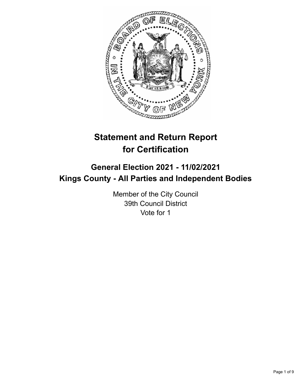

# **Statement and Return Report for Certification**

## **General Election 2021 - 11/02/2021 Kings County - All Parties and Independent Bodies**

Member of the City Council 39th Council District Vote for 1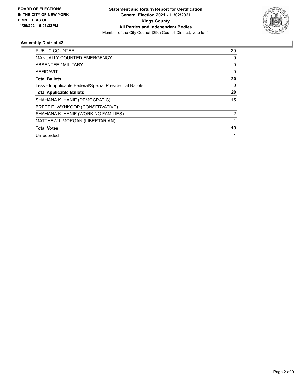

| <b>PUBLIC COUNTER</b>                                    | 20 |
|----------------------------------------------------------|----|
| <b>MANUALLY COUNTED EMERGENCY</b>                        | 0  |
| ABSENTEE / MILITARY                                      | 0  |
| <b>AFFIDAVIT</b>                                         | 0  |
| <b>Total Ballots</b>                                     | 20 |
| Less - Inapplicable Federal/Special Presidential Ballots | 0  |
| <b>Total Applicable Ballots</b>                          | 20 |
| SHAHANA K. HANIF (DEMOCRATIC)                            | 15 |
| BRETT E. WYNKOOP (CONSERVATIVE)                          |    |
| SHAHANA K. HANIF (WORKING FAMILIES)                      | 2  |
| MATTHEW I. MORGAN (LIBERTARIAN)                          |    |
| <b>Total Votes</b>                                       | 19 |
| Unrecorded                                               |    |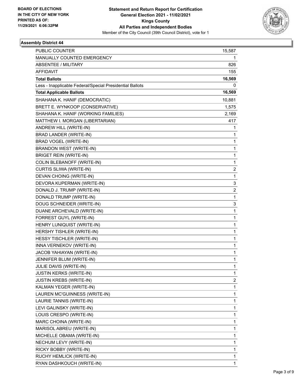

| PUBLIC COUNTER                                           | 15,587                  |
|----------------------------------------------------------|-------------------------|
| MANUALLY COUNTED EMERGENCY                               | 1                       |
| <b>ABSENTEE / MILITARY</b>                               | 826                     |
| <b>AFFIDAVIT</b>                                         | 155                     |
| <b>Total Ballots</b>                                     | 16,569                  |
| Less - Inapplicable Federal/Special Presidential Ballots | 0                       |
| <b>Total Applicable Ballots</b>                          | 16,569                  |
| SHAHANA K. HANIF (DEMOCRATIC)                            | 10,881                  |
| BRETT E. WYNKOOP (CONSERVATIVE)                          | 1,575                   |
| SHAHANA K. HANIF (WORKING FAMILIES)                      | 2,169                   |
| MATTHEW I. MORGAN (LIBERTARIAN)                          | 417                     |
| ANDREW HILL (WRITE-IN)                                   | 1                       |
| BRAD LANDER (WRITE-IN)                                   | 1                       |
| BRAD VOGEL (WRITE-IN)                                    | $\mathbf{1}$            |
| <b>BRANDON WEST (WRITE-IN)</b>                           | $\mathbf{1}$            |
| <b>BRIGET REIN (WRITE-IN)</b>                            | 1                       |
| COLIN BLEBANOFF (WRITE-IN)                               | $\mathbf{1}$            |
| CURTIS SLIWA (WRITE-IN)                                  | 2                       |
| DEVAN CHOING (WRITE-IN)                                  | 1                       |
| DEVORA KUPERMAN (WRITE-IN)                               | 3                       |
| DONALD J. TRUMP (WRITE-IN)                               | $\overline{\mathbf{c}}$ |
| DONALD TRUMP (WRITE-IN)                                  | 1                       |
| DOUG SCHNEIDER (WRITE-IN)                                | 3                       |
| DUANE ARCHEVALD (WRITE-IN)                               | $\mathbf{1}$            |
| FORREST GUYL (WRITE-IN)                                  | 1                       |
| HENRY LUNIQUIST (WRITE-IN)                               | $\mathbf{1}$            |
| HERSHY TISHLER (WRITE-IN)                                | $\mathbf{1}$            |
| HESSY TISCHLER (WRITE-IN)                                | 1                       |
| INNA VERNEKOV (WRITE-IN)                                 | $\mathbf{1}$            |
| JACOB YAHIAYAN (WRITE-IN)                                | $\mathbf{1}$            |
| JENNIFER BLUM (WRITE-IN)                                 | 1                       |
| JULIE DAVIS (WRITE-IN)                                   | 1                       |
| <b>JUSTIN KERKS (WRITE-IN)</b>                           | $\mathbf{1}$            |
| <b>JUSTIN KREBS (WRITE-IN)</b>                           | 2                       |
| KALMAN YEGER (WRITE-IN)                                  | $\mathbf{1}$            |
| LAUREN MC'GUINNESS (WRITE-IN)                            | $\mathbf{1}$            |
| LAURIE TANNIS (WRITE-IN)                                 | 1                       |
| LEVI GALINSKY (WRITE-IN)                                 | 1                       |
| LOUIS CRESPO (WRITE-IN)                                  | $\mathbf{1}$            |
| MARC CHOINA (WRITE-IN)                                   | 1                       |
| MARISOL ABREU (WRITE-IN)                                 | $\mathbf{1}$            |
| MICHELLE OBAMA (WRITE-IN)                                | $\mathbf{1}$            |
| NECHUM LEVY (WRITE-IN)                                   | 1                       |
| RICKY BOBBY (WRITE-IN)                                   | $\mathbf{1}$            |
| RUCHY HEMLICK (WRITE-IN)                                 | $\mathbf{1}$            |
| RYAN DASHKOUCH (WRITE-IN)                                | 1                       |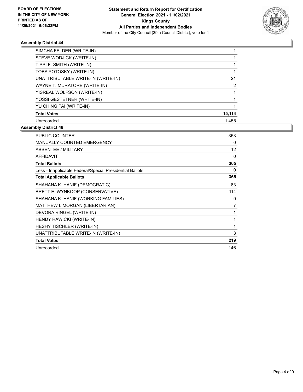

| SIMCHA FELDER (WRITE-IN)           |                |
|------------------------------------|----------------|
| STEVE WODJICK (WRITE-IN)           |                |
| TIPPI F. SMITH (WRITE-IN)          |                |
| TOBA POTOSKY (WRITE-IN)            |                |
| UNATTRIBUTABLE WRITE-IN (WRITE-IN) | 21             |
| WAYNE T. MURATORE (WRITE-IN)       | $\overline{2}$ |
| YISREAL WOLFSON (WRITE-IN)         |                |
| YOSSI GESTETNER (WRITE-IN)         |                |
| YU CHING PAI (WRITE-IN)            |                |
| <b>Total Votes</b>                 | 15,114         |
| Unrecorded                         | 1.455          |

| <b>PUBLIC COUNTER</b>                                    | 353 |
|----------------------------------------------------------|-----|
| <b>MANUALLY COUNTED EMERGENCY</b>                        | 0   |
| <b>ABSENTEE / MILITARY</b>                               | 12  |
| <b>AFFIDAVIT</b>                                         | 0   |
| <b>Total Ballots</b>                                     | 365 |
| Less - Inapplicable Federal/Special Presidential Ballots | 0   |
| <b>Total Applicable Ballots</b>                          | 365 |
| SHAHANA K. HANIF (DEMOCRATIC)                            | 83  |
| BRETT E. WYNKOOP (CONSERVATIVE)                          | 114 |
| SHAHANA K. HANIF (WORKING FAMILIES)                      | 9   |
| MATTHEW I. MORGAN (LIBERTARIAN)                          | 7   |
| DEVORA RINGEL (WRITE-IN)                                 | 1   |
| HENDY RAWICKI (WRITE-IN)                                 | 1   |
| <b>HESHY TISCHLER (WRITE-IN)</b>                         | 1   |
| UNATTRIBUTABLE WRITE-IN (WRITE-IN)                       | 3   |
| <b>Total Votes</b>                                       | 219 |
| Unrecorded                                               | 146 |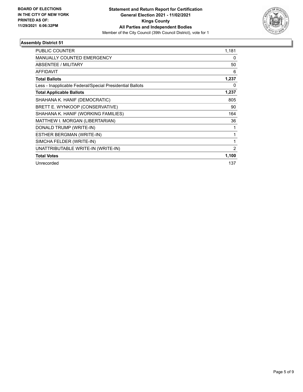

| <b>PUBLIC COUNTER</b>                                    | 1,181          |
|----------------------------------------------------------|----------------|
| <b>MANUALLY COUNTED EMERGENCY</b>                        | 0              |
| ABSENTEE / MILITARY                                      | 50             |
| <b>AFFIDAVIT</b>                                         | 6              |
| <b>Total Ballots</b>                                     | 1,237          |
| Less - Inapplicable Federal/Special Presidential Ballots | 0              |
| <b>Total Applicable Ballots</b>                          | 1,237          |
| SHAHANA K. HANIF (DEMOCRATIC)                            | 805            |
| BRETT E. WYNKOOP (CONSERVATIVE)                          | 90             |
| SHAHANA K. HANIF (WORKING FAMILIES)                      | 164            |
| MATTHEW I. MORGAN (LIBERTARIAN)                          | 36             |
| DONALD TRUMP (WRITE-IN)                                  |                |
| ESTHER BERGMAN (WRITE-IN)                                | 1              |
| SIMCHA FELDER (WRITE-IN)                                 | 1              |
| UNATTRIBUTABLE WRITE-IN (WRITE-IN)                       | $\overline{2}$ |
| <b>Total Votes</b>                                       | 1,100          |
| Unrecorded                                               | 137            |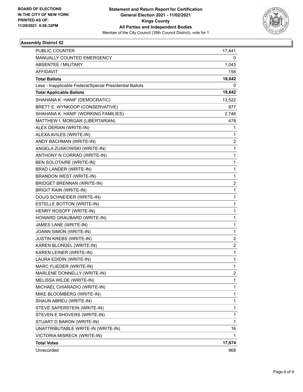

| <b>PUBLIC COUNTER</b>                                    | 17,441         |
|----------------------------------------------------------|----------------|
| MANUALLY COUNTED EMERGENCY                               | 0              |
| <b>ABSENTEE / MILITARY</b>                               | 1,043          |
| <b>AFFIDAVIT</b>                                         | 158            |
| <b>Total Ballots</b>                                     | 18,642         |
| Less - Inapplicable Federal/Special Presidential Ballots | 0              |
| <b>Total Applicable Ballots</b>                          | 18,642         |
| SHAHANA K. HANIF (DEMOCRATIC)                            | 13,522         |
| BRETT E. WYNKOOP (CONSERVATIVE)                          | 877            |
| SHAHANA K. HANIF (WORKING FAMILIES)                      | 2,746          |
| MATTHEW I. MORGAN (LIBERTARIAN)                          | 478            |
| ALEX DERIAN (WRITE-IN)                                   | 1              |
| ALEXA AVILES (WRITE-IN)                                  | 1              |
| ANDY BACHMAN (WRITE-IN)                                  | $\overline{c}$ |
| ANGELA ZUSKOWSKI (WRITE-IN)                              | 1              |
| ANTHONY N CORRAO (WRITE-IN)                              | 1              |
| <b>BEN SOLOTAIRE (WRITE-IN)</b>                          | 1              |
| BRAD LANDER (WRITE-IN)                                   | 1              |
| <b>BRANDON WEST (WRITE-IN)</b>                           | $\mathbf{1}$   |
| <b>BRIDGET BRENNAN (WRITE-IN)</b>                        | $\overline{c}$ |
| <b>BRIGIT RAIN (WRITE-IN)</b>                            | $\mathbf{1}$   |
| DOUG SCHNEIDER (WRITE-IN)                                | 1              |
| <b>ESTELLE BOTTON (WRITE-IN)</b>                         | 1              |
| HENRY ROSOFF (WRITE-IN)                                  | 1              |
| HOWARD GRAUBARD (WRITE-IN)                               | $\mathbf{1}$   |
| JAMES LANE (WRITE-IN)                                    | 1              |
| JOANN SIMON (WRITE-IN)                                   | 1              |
| <b>JUSTIN KREBS (WRITE-IN)</b>                           | 2              |
| KAREN BLONDEL (WRITE-IN)                                 | $\overline{2}$ |
| KAREN LEINER (WRITE-IN)                                  | 1              |
| LAURA EDIDIN (WRITE-IN)                                  | $\mathbf{1}$   |
| MARC FLIEDER (WRITE-IN)                                  | 1              |
| MARLENE DONNELLY (WRITE-IN)                              | 2              |
| MELISSA WILDE (WRITE-IN)                                 | $\mathbf{1}$   |
| MICHAEL CHIARADIO (WRITE-IN)                             | 1              |
| MIKE BLOOMBERG (WRITE-IN)                                | 1              |
| SHAUN ABREU (WRITE-IN)                                   | $\mathbf{1}$   |
| STEVE SAPERSTEIN (WRITE-IN)                              | 1              |
| STEVEN E SHOVERS (WRITE-IN)                              | 1              |
| STUART D BARON (WRITE-IN)                                | $\mathbf{1}$   |
| UNATTRIBUTABLE WRITE-IN (WRITE-IN)                       | 16             |
| VICTORIA MISRECK (WRITE-IN)                              | 1              |
| <b>Total Votes</b>                                       | 17,674         |
| Unrecorded                                               | 968            |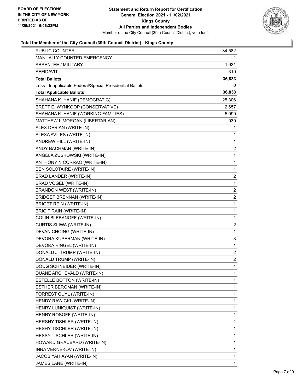

### **Total for Member of the City Council (39th Council District) - Kings County**

| PUBLIC COUNTER                                           | 34,582                  |
|----------------------------------------------------------|-------------------------|
| MANUALLY COUNTED EMERGENCY                               | 1                       |
| <b>ABSENTEE / MILITARY</b>                               | 1,931                   |
| AFFIDAVIT                                                | 319                     |
| <b>Total Ballots</b>                                     | 36,833                  |
| Less - Inapplicable Federal/Special Presidential Ballots | 0                       |
| <b>Total Applicable Ballots</b>                          | 36,833                  |
| SHAHANA K. HANIF (DEMOCRATIC)                            | 25,306                  |
| BRETT E. WYNKOOP (CONSERVATIVE)                          | 2,657                   |
| SHAHANA K. HANIF (WORKING FAMILIES)                      | 5,090                   |
| MATTHEW I. MORGAN (LIBERTARIAN)                          | 939                     |
| ALEX DERIAN (WRITE-IN)                                   | 1                       |
| ALEXA AVILES (WRITE-IN)                                  | 1                       |
| ANDREW HILL (WRITE-IN)                                   | $\mathbf{1}$            |
| ANDY BACHMAN (WRITE-IN)                                  | $\overline{\mathbf{c}}$ |
| ANGELA ZUSKOWSKI (WRITE-IN)                              | 1                       |
| ANTHONY N CORRAO (WRITE-IN)                              | 1                       |
| BEN SOLOTAIRE (WRITE-IN)                                 | 1                       |
| BRAD LANDER (WRITE-IN)                                   | 2                       |
| BRAD VOGEL (WRITE-IN)                                    | $\mathbf{1}$            |
| BRANDON WEST (WRITE-IN)                                  | $\overline{\mathbf{c}}$ |
| BRIDGET BRENNAN (WRITE-IN)                               | $\overline{\mathbf{c}}$ |
| <b>BRIGET REIN (WRITE-IN)</b>                            | 1                       |
| <b>BRIGIT RAIN (WRITE-IN)</b>                            | 1                       |
| COLIN BLEBANOFF (WRITE-IN)                               | 1                       |
| CURTIS SLIWA (WRITE-IN)                                  | $\overline{\mathbf{c}}$ |
| DEVAN CHOING (WRITE-IN)                                  | $\mathbf{1}$            |
| DEVORA KUPERMAN (WRITE-IN)                               | 3                       |
| DEVORA RINGEL (WRITE-IN)                                 | $\mathbf{1}$            |
| DONALD J. TRUMP (WRITE-IN)                               | $\overline{c}$          |
| DONALD TRUMP (WRITE-IN)                                  | $\overline{c}$          |
| DOUG SCHNEIDER (WRITE-IN)                                | 4                       |
| DUANE ARCHEVALD (WRITE-IN)                               | 1                       |
| ESTELLE BOTTON (WRITE-IN)                                | 1                       |
| ESTHER BERGMAN (WRITE-IN)                                | 1                       |
| FORREST GUYL (WRITE-IN)                                  | 1                       |
| HENDY RAWICKI (WRITE-IN)                                 | 1                       |
| HENRY LUNIQUIST (WRITE-IN)                               | 1                       |
| HENRY ROSOFF (WRITE-IN)                                  | 1                       |
| HERSHY TISHLER (WRITE-IN)                                | 1                       |
| HESHY TISCHLER (WRITE-IN)                                | 1                       |
| HESSY TISCHLER (WRITE-IN)                                | 1                       |
| HOWARD GRAUBARD (WRITE-IN)                               | 1                       |
| INNA VERNEKOV (WRITE-IN)                                 | 1                       |
| JACOB YAHIAYAN (WRITE-IN)                                | 1                       |
| JAMES LANE (WRITE-IN)                                    | 1                       |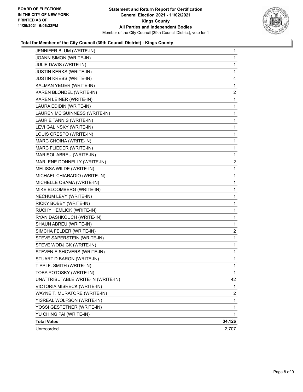

### **Total for Member of the City Council (39th Council District) - Kings County**

| JENNIFER BLUM (WRITE-IN)           | $\mathbf{1}$   |
|------------------------------------|----------------|
| JOANN SIMON (WRITE-IN)             | 1              |
| JULIE DAVIS (WRITE-IN)             | 1              |
| JUSTIN KERKS (WRITE-IN)            | 1              |
| JUSTIN KREBS (WRITE-IN)            | 4              |
| KALMAN YEGER (WRITE-IN)            | 1              |
| KAREN BLONDEL (WRITE-IN)           | $\overline{c}$ |
| KAREN LEINER (WRITE-IN)            | 1              |
| LAURA EDIDIN (WRITE-IN)            | 1              |
| LAUREN MC'GUINNESS (WRITE-IN)      | 1              |
| LAURIE TANNIS (WRITE-IN)           | 1              |
| LEVI GALINSKY (WRITE-IN)           | 1              |
| LOUIS CRESPO (WRITE-IN)            | 1              |
| MARC CHOINA (WRITE-IN)             | 1              |
| MARC FLIEDER (WRITE-IN)            | 1              |
| MARISOL ABREU (WRITE-IN)           | 1              |
| MARLENE DONNELLY (WRITE-IN)        | $\overline{2}$ |
| MELISSA WILDE (WRITE-IN)           | 1              |
| MICHAEL CHIARADIO (WRITE-IN)       | 1              |
| MICHELLE OBAMA (WRITE-IN)          | 1              |
| MIKE BLOOMBERG (WRITE-IN)          | 1              |
| NECHUM LEVY (WRITE-IN)             | 1              |
| RICKY BOBBY (WRITE-IN)             | 1              |
| RUCHY HEMLICK (WRITE-IN)           | 1              |
| RYAN DASHKOUCH (WRITE-IN)          | 1              |
| SHAUN ABREU (WRITE-IN)             | 1              |
| SIMCHA FELDER (WRITE-IN)           | 2              |
| STEVE SAPERSTEIN (WRITE-IN)        | 1              |
| STEVE WODJICK (WRITE-IN)           | 1              |
| STEVEN E SHOVERS (WRITE-IN)        | 1              |
| STUART D BARON (WRITE-IN)          | 1              |
| TIPPI F. SMITH (WRITE-IN)          | 1              |
| TOBA POTOSKY (WRITE-IN)            | $\mathbf{1}$   |
| UNATTRIBUTABLE WRITE-IN (WRITE-IN) | 42             |
| VICTORIA MISRECK (WRITE-IN)        | 1              |
| WAYNE T. MURATORE (WRITE-IN)       | 2              |
| YISREAL WOLFSON (WRITE-IN)         | 1              |
| YOSSI GESTETNER (WRITE-IN)         | 1              |
| YU CHING PAI (WRITE-IN)            | 1              |
| <b>Total Votes</b>                 | 34,126         |
| Unrecorded                         | 2,707          |